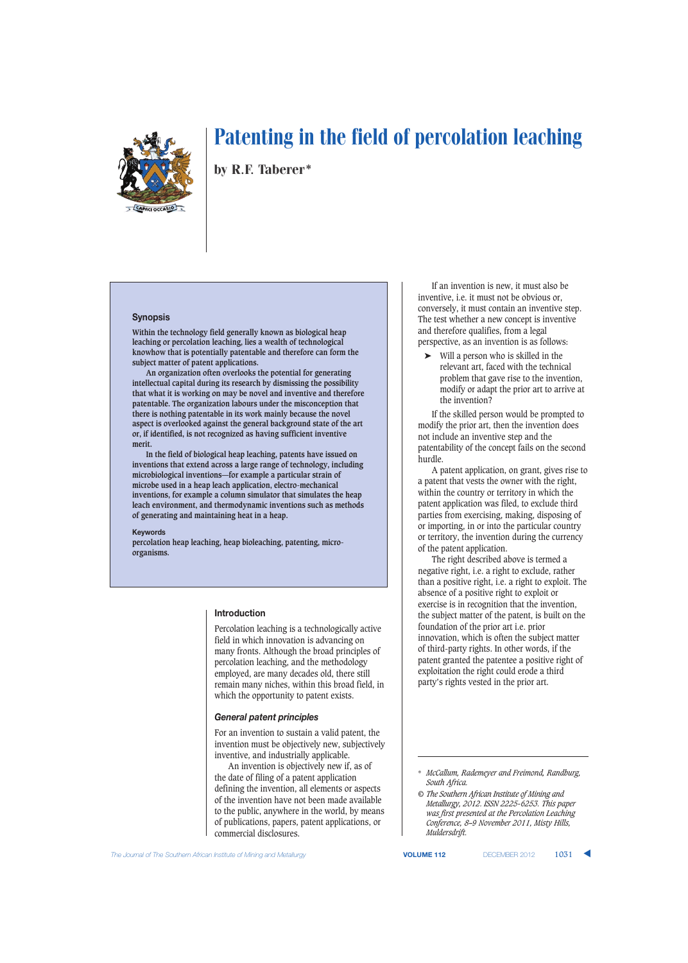

by R.F. Taberer\*

## **Synopsis**

**Within the technology field generally known as biological heap leaching or percolation leaching, lies a wealth of technological knowhow that is potentially patentable and therefore can form the subject matter of patent applications.**

**An organization often overlooks the potential for generating intellectual capital during its research by dismissing the possibility that what it is working on may be novel and inventive and therefore patentable. The organization labours under the misconception that there is nothing patentable in its work mainly because the novel aspect is overlooked against the general background state of the art or, if identified, is not recognized as having sufficient inventive merit.**

**In the field of biological heap leaching, patents have issued on inventions that extend across a large range of technology, including microbiological inventions—for example a particular strain of microbe used in a heap leach application, electro-mechanical inventions, for example a column simulator that simulates the heap leach environment, and thermodynamic inventions such as methods of generating and maintaining heat in a heap.**

#### **Keywords**

**percolation heap leaching, heap bioleaching, patenting, microorganisms.**

## **Introduction**

Percolation leaching is a technologically active field in which innovation is advancing on many fronts. Although the broad principles of percolation leaching, and the methodology employed, are many decades old, there still remain many niches, within this broad field, in which the opportunity to patent exists.

### *General patent principles*

For an invention to sustain a valid patent, the invention must be objectively new, subjectively inventive, and industrially applicable.

An invention is objectively new if, as of the date of filing of a patent application defining the invention, all elements or aspects of the invention have not been made available to the public, anywhere in the world, by means of publications, papers, patent applications, or commercial disclosures.

If an invention is new, it must also be inventive, i.e. it must not be obvious or, conversely, it must contain an inventive step. The test whether a new concept is inventive and therefore qualifies, from a legal perspective, as an invention is as follows:

➤ Will a person who is skilled in the relevant art, faced with the technical problem that gave rise to the invention, modify or adapt the prior art to arrive at the invention?

If the skilled person would be prompted to modify the prior art, then the invention does not include an inventive step and the patentability of the concept fails on the second hurdle.

A patent application, on grant, gives rise to a patent that vests the owner with the right, within the country or territory in which the patent application was filed, to exclude third parties from exercising, making, disposing of or importing, in or into the particular country or territory, the invention during the currency of the patent application.

The right described above is termed a negative right, i.e. a right to exclude, rather than a positive right, i.e. a right to exploit. The absence of a positive right to exploit or exercise is in recognition that the invention, the subject matter of the patent, is built on the foundation of the prior art i.e. prior innovation, which is often the subject matter of third-party rights. In other words, if the patent granted the patentee a positive right of exploitation the right could erode a third party's rights vested in the prior art.

**The Journal of The Southern African Institute of Mining and Metallurgy <b>VOLUME 112** DECEMBER 2012 **1031** 

<sup>\*</sup> *McCallum, Rademeyer and Freimond, Randburg, South Africa.*

*<sup>©</sup> The Southern African Institute of Mining and Metallurgy, 2012. ISSN 2225-6253. This paper was first presented at the Percolation Leaching Conference, 8–9 November 2011, Misty Hills, Muldersdrift.*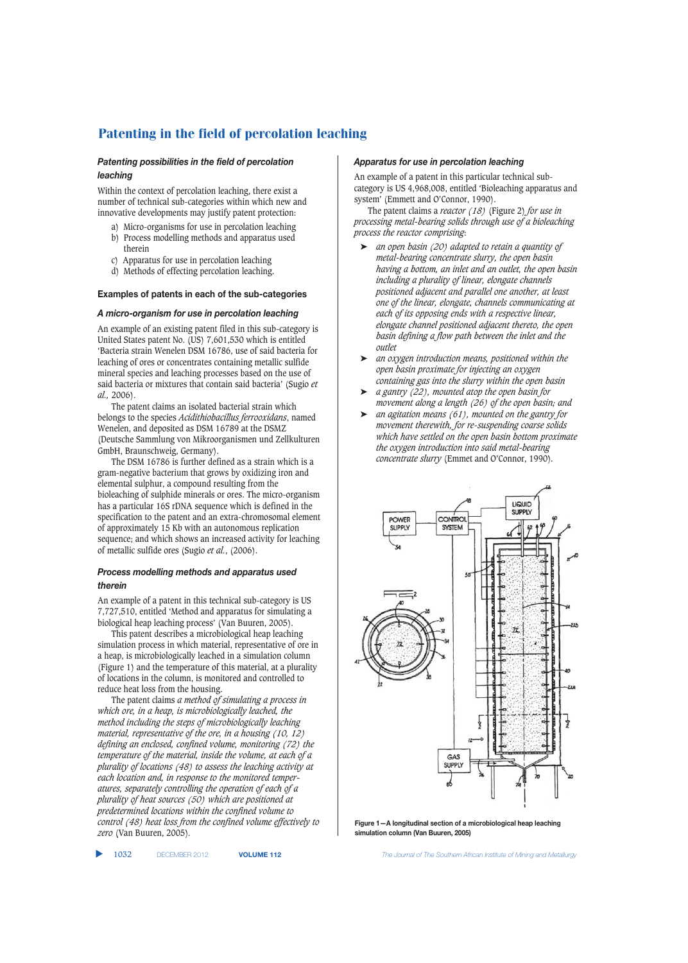# *Patenting possibilities in the field of percolation leaching*

Within the context of percolation leaching, there exist a number of technical sub-categories within which new and innovative developments may justify patent protection:

- a) Micro-organisms for use in percolation leaching b) Process modelling methods and apparatus used therein
- c) Apparatus for use in percolation leaching
- d) Methods of effecting percolation leaching.

# **Examples of patents in each of the sub-categories**

# *A micro-organism for use in percolation leaching*

An example of an existing patent filed in this sub-category is United States patent No. (US) 7,601,530 which is entitled 'Bacteria strain Wenelen DSM 16786, use of said bacteria for leaching of ores or concentrates containing metallic sulfide mineral species and leaching processes based on the use of said bacteria or mixtures that contain said bacteria' (Sugio *et al.,* 2006).

The patent claims an isolated bacterial strain which belongs to the species *Acidithiobacillus ferrooxidans*, named Wenelen, and deposited as DSM 16789 at the DSMZ (Deutsche Sammlung von Mikroorganismen und Zellkulturen GmbH, Braunschweig, Germany).

The DSM 16786 is further defined as a strain which is a gram-negative bacterium that grows by oxidizing iron and elemental sulphur, a compound resulting from the bioleaching of sulphide minerals or ores. The micro-organism has a particular 16S rDNA sequence which is defined in the specification to the patent and an extra-chromosomal element of approximately 15 Kb with an autonomous replication sequence; and which shows an increased activity for leaching of metallic sulfide ores (Sugio *et al.*, (2006).

# *Process modelling methods and apparatus used therein*

An example of a patent in this technical sub-category is US 7,727,510, entitled 'Method and apparatus for simulating a biological heap leaching process' (Van Buuren, 2005).

This patent describes a microbiological heap leaching simulation process in which material, representative of ore in a heap, is microbiologically leached in a simulation column (Figure 1) and the temperature of this material, at a plurality of locations in the column, is monitored and controlled to reduce heat loss from the housing.

The patent claims *a method of simulating a process in which ore, in a heap, is microbiologically leached, the method including the steps of microbiologically leaching material, representative of the ore, in a housing (10, 12) defining an enclosed, confined volume, monitoring (72) the temperature of the material, inside the volume, at each of a plurality of locations (48) to assess the leaching activity at each location and, in response to the monitored temperatures, separately controlling the operation of each of a plurality of heat sources (50) which are positioned at predetermined locations within the confined volume to control (48) heat loss from the confined volume effectively to zero* (Van Buuren, 2005)*.*

## *Apparatus for use in percolation leaching*

An example of a patent in this particular technical subcategory is US 4,968,008, entitled 'Bioleaching apparatus and system' (Emmett and O'Connor, 1990).

The patent claims a *reactor (18)* (Figure 2) *for use in processing metal-bearing solids through use of a bioleaching process the reactor comprising*:

- ➤ *an open basin (20) adapted to retain a quantity of metal-bearing concentrate slurry, the open basin having a bottom, an inlet and an outlet, the open basin including a plurality of linear, elongate channels positioned adjacent and parallel one another, at least one of the linear, elongate, channels communicating at each of its opposing ends with a respective linear, elongate channel positioned adjacent thereto, the open basin defining a flow path between the inlet and the outlet*
- ➤ *an oxygen introduction means, positioned within the open basin proximate for injecting an oxygen containing gas into the slurry within the open basin*
- ➤ *a gantry (22), mounted atop the open basin for movement along a length (26) of the open basin; and*
- ➤ *an agitation means (61), mounted on the gantry for movement therewith, for re-suspending coarse solids which have settled on the open basin bottom proximate the oxygen introduction into said metal-bearing concentrate slurry* (Emmet and O'Connor, 1990)*.*



**Figure 1—A longitudinal section of a microbiological heap leaching simulation column (Van Buuren, 2005)**

▲

1032 DECEMBER 2012 **VOLUME 112** *The Journal of The Southern African Institute of Mining and Metallurgy*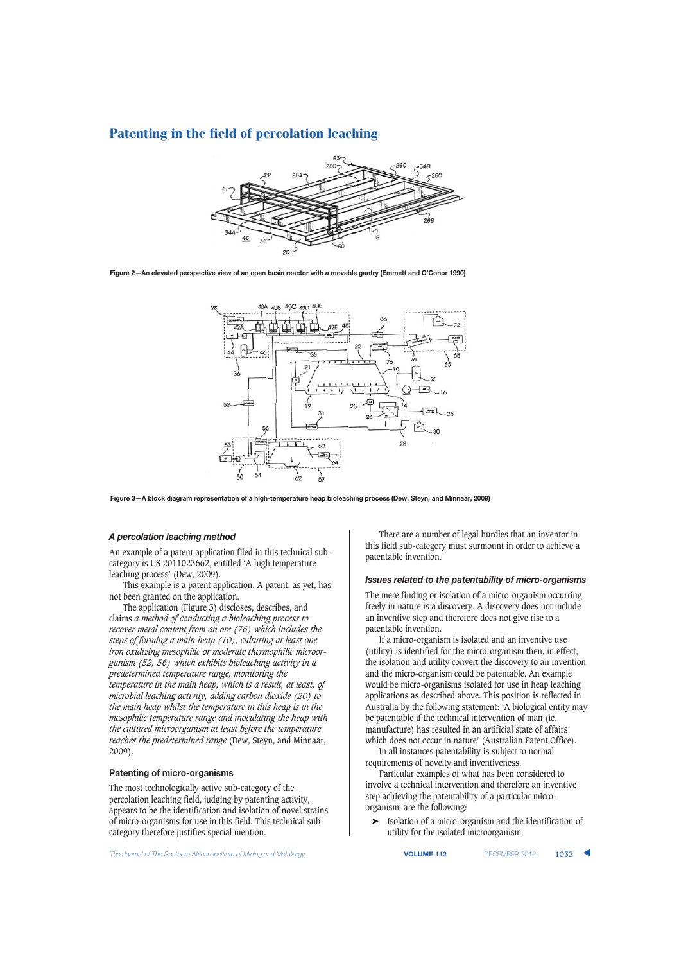

**Figure 2—An elevated perspective view of an open basin reactor with a movable gantry (Emmett and O'Conor 1990)**



**Figure 3—A block diagram representation of a high-temperature heap bioleaching process (Dew, Steyn, and Minnaar, 2009)**

# *A percolation leaching method*

An example of a patent application filed in this technical subcategory is US 2011023662, entitled 'A high temperature leaching process' (Dew, 2009).

This example is a patent application. A patent, as yet, has not been granted on the application.

The application (Figure 3) discloses, describes, and claims *a method of conducting a bioleaching process to recover metal content from an ore (76) which includes the steps of forming a main heap (10), culturing at least one iron oxidizing mesophilic or moderate thermophilic microorganism (52, 56) which exhibits bioleaching activity in a predetermined temperature range, monitoring the temperature in the main heap, which is a result, at least, of microbial leaching activity, adding carbon dioxide (20) to the main heap whilst the temperature in this heap is in the mesophilic temperature range and inoculating the heap with the cultured microorganism at least before the temperature reaches the predetermined range* (Dew, Steyn, and Minnaar, 2009).

## **Patenting of micro-organisms**

The most technologically active sub-category of the percolation leaching field, judging by patenting activity, appears to be the identification and isolation of novel strains of micro-organisms for use in this field. This technical subcategory therefore justifies special mention.

There are a number of legal hurdles that an inventor in this field sub-category must surmount in order to achieve a patentable invention.

#### *Issues related to the patentability of micro-organisms*

The mere finding or isolation of a micro-organism occurring freely in nature is a discovery. A discovery does not include an inventive step and therefore does not give rise to a patentable invention.

If a micro-organism is isolated and an inventive use (utility) is identified for the micro-organism then, in effect, the isolation and utility convert the discovery to an invention and the micro-organism could be patentable. An example would be micro-organisms isolated for use in heap leaching applications as described above. This position is reflected in Australia by the following statement: 'A biological entity may be patentable if the technical intervention of man (ie. manufacture) has resulted in an artificial state of affairs which does not occur in nature' (Australian Patent Office).

In all instances patentability is subject to normal requirements of novelty and inventiveness.

Particular examples of what has been considered to involve a technical intervention and therefore an inventive step achieving the patentability of a particular microorganism, are the following:

➤ Isolation of a micro-organism and the identification of utility for the isolated microorganism

**The Journal of The Southern African Institute of Mining and Metallurgy <b>VOLUME 112** DECEMBER 2012 **1033**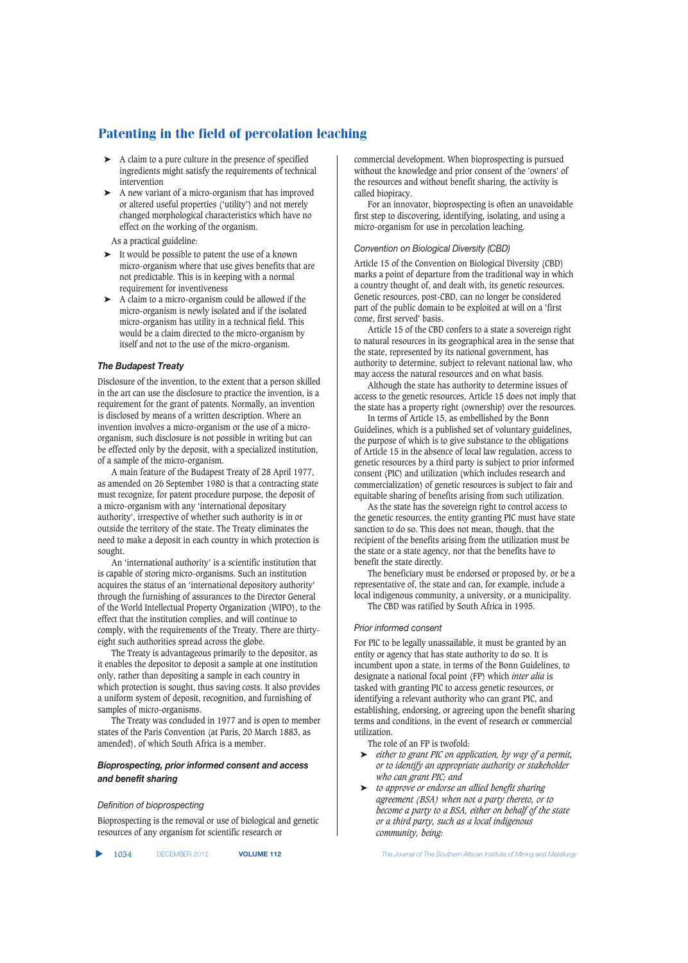- ➤ A claim to a pure culture in the presence of specified ingredients might satisfy the requirements of technical intervention
- ➤ A new variant of a micro-organism that has improved or altered useful properties ('utility') and not merely changed morphological characteristics which have no effect on the working of the organism.

As a practical guideline:

- ➤ It would be possible to patent the use of a known micro-organism where that use gives benefits that are not predictable. This is in keeping with a normal requirement for inventiveness
- ➤ A claim to a micro-organism could be allowed if the micro-organism is newly isolated and if the isolated micro-organism has utility in a technical field. This would be a claim directed to the micro-organism by itself and not to the use of the micro-organism.

## *The Budapest Treaty*

Disclosure of the invention, to the extent that a person skilled in the art can use the disclosure to practice the invention, is a requirement for the grant of patents. Normally, an invention is disclosed by means of a written description. Where an invention involves a micro-organism or the use of a microorganism, such disclosure is not possible in writing but can be effected only by the deposit, with a specialized institution, of a sample of the micro-organism.

A main feature of the Budapest Treaty of 28 April 1977, as amended on 26 September 1980 is that a contracting state must recognize, for patent procedure purpose, the deposit of a micro-organism with any 'international depositary authority', irrespective of whether such authority is in or outside the territory of the state. The Treaty eliminates the need to make a deposit in each country in which protection is sought.

An 'international authority' is a scientific institution that is capable of storing micro-organisms. Such an institution acquires the status of an 'international depository authority' through the furnishing of assurances to the Director General of the World Intellectual Property Organization (WIPO), to the effect that the institution complies, and will continue to comply, with the requirements of the Treaty. There are thirtyeight such authorities spread across the globe.

The Treaty is advantageous primarily to the depositor, as it enables the depositor to deposit a sample at one institution only, rather than depositing a sample in each country in which protection is sought, thus saving costs. It also provides a uniform system of deposit, recognition, and furnishing of samples of micro-organisms.

The Treaty was concluded in 1977 and is open to member states of the Paris Convention (at Paris, 20 March 1883, as amended), of which South Africa is a member.

# *Bioprospecting, prior informed consent and access and benefit sharing*

## *Definition of bioprospecting*

Bioprospecting is the removal or use of biological and genetic resources of any organism for scientific research or

▲ 1034 DECEMBER 2012 **VOLUME 112** *The Journal of The Southern African Institute of Mining and Metallurgy*

commercial development. When bioprospecting is pursued without the knowledge and prior consent of the 'owners' of the resources and without benefit sharing, the activity is called biopiracy.

For an innovator, bioprospecting is often an unavoidable first step to discovering, identifying, isolating, and using a micro-organism for use in percolation leaching.

## *Convention on Biological Diversity (CBD)*

Article 15 of the Convention on Biological Diversity (CBD) marks a point of departure from the traditional way in which a country thought of, and dealt with, its genetic resources. Genetic resources, post-CBD, can no longer be considered part of the public domain to be exploited at will on a 'first come, first served' basis.

Article 15 of the CBD confers to a state a sovereign right to natural resources in its geographical area in the sense that the state, represented by its national government, has authority to determine, subject to relevant national law, who may access the natural resources and on what basis.

Although the state has authority to determine issues of access to the genetic resources, Article 15 does not imply that the state has a property right (ownership) over the resources.

In terms of Article 15, as embellished by the Bonn Guidelines, which is a published set of voluntary guidelines, the purpose of which is to give substance to the obligations of Article 15 in the absence of local law regulation, access to genetic resources by a third party is subject to prior informed consent (PIC) and utilization (which includes research and commercialization) of genetic resources is subject to fair and equitable sharing of benefits arising from such utilization.

As the state has the sovereign right to control access to the genetic resources, the entity granting PIC must have state sanction to do so. This does not mean, though, that the recipient of the benefits arising from the utilization must be the state or a state agency, nor that the benefits have to benefit the state directly.

The beneficiary must be endorsed or proposed by, or be a representative of, the state and can, for example, include a local indigenous community, a university, or a municipality.

The CBD was ratified by South Africa in 1995.

# *Prior informed consent*

For PIC to be legally unassailable, it must be granted by an entity or agency that has state authority to do so. It is incumbent upon a state, in terms of the Bonn Guidelines, to designate a national focal point (FP) which *inter alia* is tasked with granting PIC to access genetic resources, or identifying a relevant authority who can grant PIC, and establishing, endorsing, or agreeing upon the benefit sharing terms and conditions, in the event of research or commercial utilization.

The role of an FP is twofold:

- ➤ *either to grant PIC on application, by way of a permit, or to identify an appropriate authority or stakeholder who can grant PIC; and*
- ➤ *to approve or endorse an allied benefit sharing agreement (BSA) when not a party thereto, or to become a party to a BSA, either on behalf of the state or a third party, such as a local indigenous community, being:*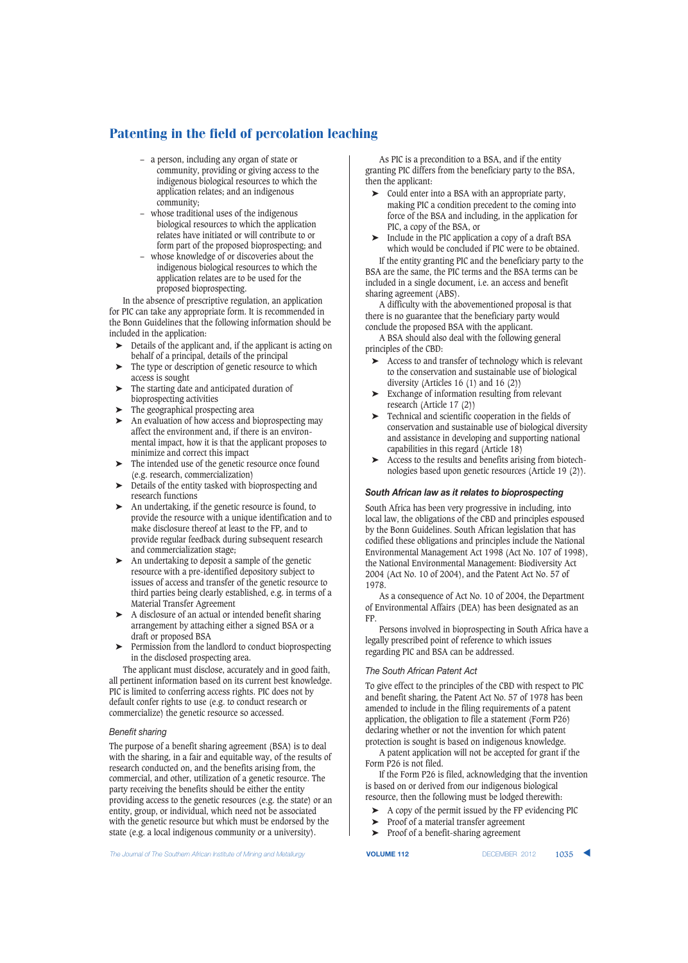- a person, including any organ of state or community, providing or giving access to the indigenous biological resources to which the application relates; and an indigenous community;
- whose traditional uses of the indigenous biological resources to which the application relates have initiated or will contribute to or form part of the proposed bioprospecting; and
- whose knowledge of or discoveries about the indigenous biological resources to which the application relates are to be used for the proposed bioprospecting.

In the absence of prescriptive regulation, an application for PIC can take any appropriate form. It is recommended in the Bonn Guidelines that the following information should be included in the application:

- ➤ Details of the applicant and, if the applicant is acting on behalf of a principal, details of the principal
- The type or description of genetic resource to which access is sought
- The starting date and anticipated duration of bioprospecting activities
- The geographical prospecting area
- An evaluation of how access and bioprospecting may affect the environment and, if there is an environmental impact, how it is that the applicant proposes to minimize and correct this impact
- ➤ The intended use of the genetic resource once found (e.g. research, commercialization)
- ➤ Details of the entity tasked with bioprospecting and research functions
- ➤ An undertaking, if the genetic resource is found, to provide the resource with a unique identification and to make disclosure thereof at least to the FP, and to provide regular feedback during subsequent research and commercialization stage;
- ➤ An undertaking to deposit a sample of the genetic resource with a pre-identified depository subject to issues of access and transfer of the genetic resource to third parties being clearly established, e.g. in terms of a Material Transfer Agreement
- ➤ A disclosure of an actual or intended benefit sharing arrangement by attaching either a signed BSA or a draft or proposed BSA
- Permission from the landlord to conduct bioprospecting in the disclosed prospecting area.

The applicant must disclose, accurately and in good faith, all pertinent information based on its current best knowledge. PIC is limited to conferring access rights. PIC does not by default confer rights to use (e.g. to conduct research or commercialize) the genetic resource so accessed.

## *Benefit sharing*

The purpose of a benefit sharing agreement (BSA) is to deal with the sharing, in a fair and equitable way, of the results of research conducted on, and the benefits arising from, the commercial, and other, utilization of a genetic resource. The party receiving the benefits should be either the entity providing access to the genetic resources (e.g. the state) or an entity, group, or individual, which need not be associated with the genetic resource but which must be endorsed by the state (e.g. a local indigenous community or a university).

As PIC is a precondition to a BSA, and if the entity granting PIC differs from the beneficiary party to the BSA, then the applicant:

- ➤ Could enter into a BSA with an appropriate party, making PIC a condition precedent to the coming into force of the BSA and including, in the application for PIC, a copy of the BSA, or
- ➤ Include in the PIC application a copy of a draft BSA which would be concluded if PIC were to be obtained.

If the entity granting PIC and the beneficiary party to the BSA are the same, the PIC terms and the BSA terms can be included in a single document, i.e. an access and benefit sharing agreement (ABS).

A difficulty with the abovementioned proposal is that there is no guarantee that the beneficiary party would conclude the proposed BSA with the applicant.

A BSA should also deal with the following general principles of the CBD:

- ➤ Access to and transfer of technology which is relevant to the conservation and sustainable use of biological diversity (Articles 16 (1) and 16 (2))
- ➤ Exchange of information resulting from relevant research (Article 17 (2))
- ➤ Technical and scientific cooperation in the fields of conservation and sustainable use of biological diversity and assistance in developing and supporting national capabilities in this regard (Article 18)
- ➤ Access to the results and benefits arising from biotechnologies based upon genetic resources (Article 19 (2)).

## *South African law as it relates to bioprospecting*

South Africa has been very progressive in including, into local law, the obligations of the CBD and principles espoused by the Bonn Guidelines. South African legislation that has codified these obligations and principles include the National Environmental Management Act 1998 (Act No. 107 of 1998), the National Environmental Management: Biodiversity Act 2004 (Act No. 10 of 2004), and the Patent Act No. 57 of 1978.

As a consequence of Act No. 10 of 2004, the Department of Environmental Affairs (DEA) has been designated as an FP.

Persons involved in bioprospecting in South Africa have a legally prescribed point of reference to which issues regarding PIC and BSA can be addressed.

### *The South African Patent Act*

To give effect to the principles of the CBD with respect to PIC and benefit sharing, the Patent Act No. 57 of 1978 has been amended to include in the filing requirements of a patent application, the obligation to file a statement (Form P26) declaring whether or not the invention for which patent protection is sought is based on indigenous knowledge.

A patent application will not be accepted for grant if the Form P26 is not filed.

If the Form P26 is filed, acknowledging that the invention is based on or derived from our indigenous biological resource, then the following must be lodged therewith:

- ➤ A copy of the permit issued by the FP evidencing PIC
- ➤ Proof of a material transfer agreement
- ➤ Proof of a benefit-sharing agreement

**The Journal of The Southern African Institute of Mining and Metallurgy <b>VOLUME 112 VOLUME 112** DECEMBER 2012 **1035**